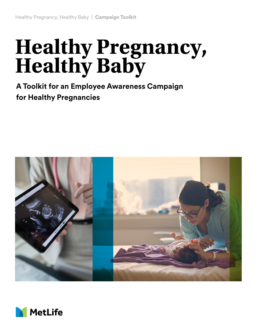# **Healthy Pregnancy, Healthy Baby**

**A Toolkit for an Employee Awareness Campaign for Healthy Pregnancies**